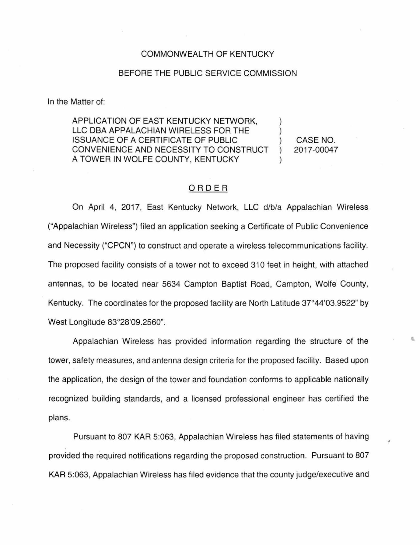## COMMONWEALTH OF KENTUCKY

## BEFORE THE PUBLIC SERVICE COMMISSION

In the Matter of:

APPLICATION OF EAST KENTUCKY NETWORK, LLC DBA APPALACHIAN WIRELESS FOR THE ISSUANCE OF A CERTIFICATE OF PUBLIC CONVENIENCE AND NECESSITY TO CONSTRUCT A TOWER IN WOLFE COUNTY, KENTUCKY

CASE NO. 2017-00047

## ORDER

On April 4, 2017, East Kentucky Network, LLC d/b/a Appalachian Wireless ("Appalachian Wireless") filed an application seeking a Certificate of Public Convenience and Necessity ("CPCN") to construct and operate a wireless telecommunications facility. The proposed facility consists of a tower not to exceed 310 feet in height, with attached antennas, to be located near 5634 Campton Baptist Road, Campton, Wolfe County, Kentucky. The coordinates for the proposed facility are North Latitude 37°44'03.9522" by West Longitude 83°28'09.2560".

Appalachian Wireless has provided information regarding the structure of the tower, safety measures, and antenna design criteria for the proposed facility. Based upon the application, the design of the tower and foundation conforms to applicable nationally recognized building standards, and a licensed professional engineer has certified the plans.

Pursuant to 807 KAR 5:063, Appalachian Wireless has filed statements of having provided the required notifications regarding the proposed construction. Pursuant to 807 KAR 5:063, Appalachian Wireless has filed evidence that the county judge/executive and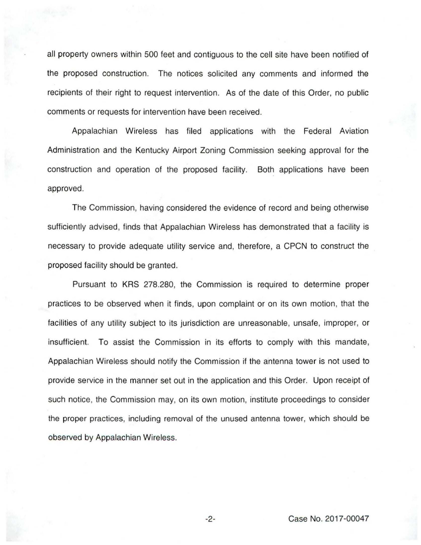all property owners within 500 feet and contiguous to the cell site have been notified of the proposed construction. The notices solicited any comments and informed the recipients of their right to request intervention. As of the date of this Order, no public comments or requests for intervention have been received.

Appalachian Wireless has filed applications with the Federal Aviation Administration and the Kentucky Airport Zoning Commission seeking approval for the construction and operation of the proposed facility. Both applications have been approved.

The Commission, having considered the evidence of record and being otherwise sufficiently advised, finds that Appalachian Wireless has demonstrated that a facility is necessary to provide adequate utility service and, therefore, a CPCN to construct the proposed facility should be granted.

Pursuant to KRS 278.280, the Commission is required to determine proper practices to be observed when it finds, upon complaint or on its own motion, that the facilities of any utility subject to its jurisdiction are unreasonable, unsafe, improper, or insufficient. To assist the Commission in its efforts to comply with this mandate, Appalachian Wireless should notify the Commission if the antenna tower is not used to provide service in the manner set out in the application and this Order. Upon receipt of such notice, the Commission may, on its own motion, institute proceedings to consider the proper practices, including removal of the unused antenna tower, which should be observed by Appalachian Wireless.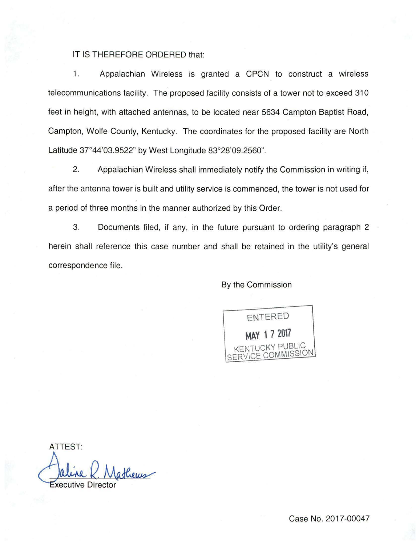## IT IS THEREFORE ORDERED that:

1. Appalachian Wireless is granted a CPCN to construct a wireless telecommunications facility. The proposed facility consists of a tower not to exceed 310 feet in height, with attached antennas, to be located near 5634 Campton Baptist Road, Campton, Wolfe County, Kentucky. The coordinates for the proposed facility are North Latitude 37°44'03.9522" by West Longitude 83°28'09.2560".

2. Appalachian Wireless shall immediately notify the Commission in writing if, after the antenna tower is built and utility service is commenced, the tower is not used for a period of three months in the manner authorized by this Order.

3. Documents filed, if any, in the future pursuant to ordering paragraph 2 herein shall reference this case number and shall be retained in the utility's general correspondence file.

By the Commission



ATTEST: Paline R. Matheus